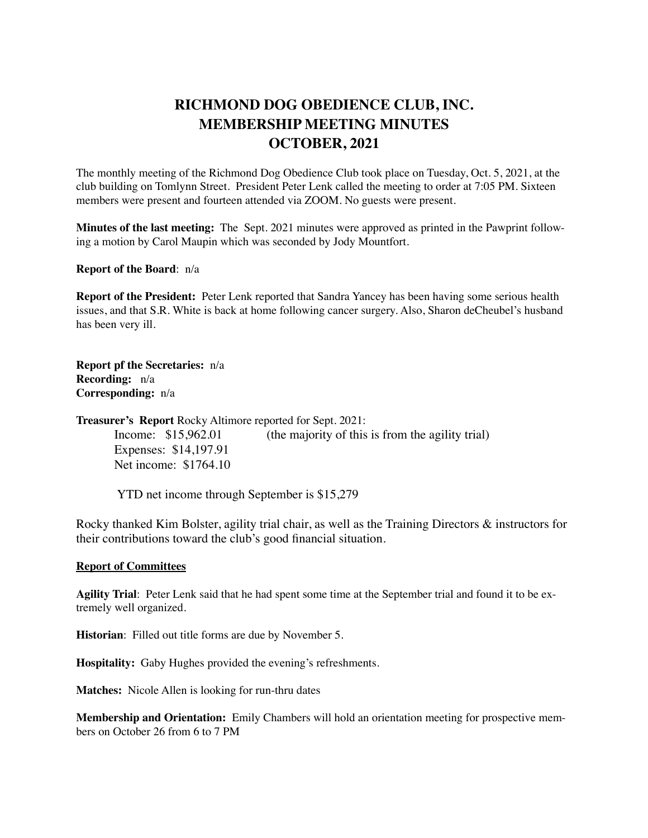## **RICHMOND DOG OBEDIENCE CLUB, INC. MEMBERSHIP MEETING MINUTES OCTOBER, 2021**

The monthly meeting of the Richmond Dog Obedience Club took place on Tuesday, Oct. 5, 2021, at the club building on Tomlynn Street. President Peter Lenk called the meeting to order at 7:05 PM. Sixteen members were present and fourteen attended via ZOOM. No guests were present.

**Minutes of the last meeting:** The Sept. 2021 minutes were approved as printed in the Pawprint following a motion by Carol Maupin which was seconded by Jody Mountfort.

**Report of the Board**: n/a

**Report of the President:** Peter Lenk reported that Sandra Yancey has been having some serious health issues, and that S.R. White is back at home following cancer surgery. Also, Sharon deCheubel's husband has been very ill.

**Report pf the Secretaries:** n/a **Recording:** n/a **Corresponding:** n/a

**Treasurer's Report** Rocky Altimore reported for Sept. 2021:

Income:  $$15,962.01$  (the majority of this is from the agility trial) Expenses: \$14,197.91 Net income: \$1764.10

YTD net income through September is \$15,279

Rocky thanked Kim Bolster, agility trial chair, as well as the Training Directors & instructors for their contributions toward the club's good financial situation.

## **Report of Committees**

**Agility Trial**: Peter Lenk said that he had spent some time at the September trial and found it to be extremely well organized.

**Historian**: Filled out title forms are due by November 5.

**Hospitality:** Gaby Hughes provided the evening's refreshments.

**Matches:** Nicole Allen is looking for run-thru dates

**Membership and Orientation:** Emily Chambers will hold an orientation meeting for prospective members on October 26 from 6 to 7 PM